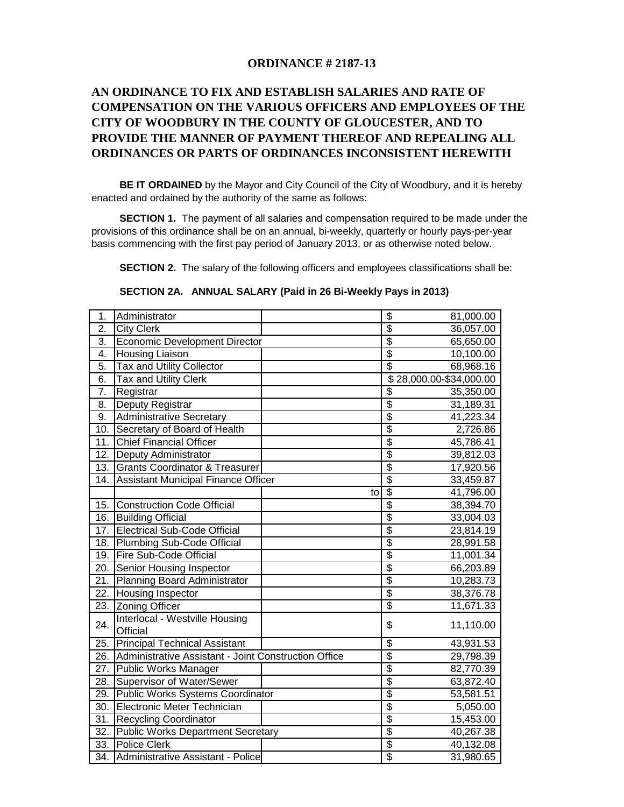### **ORDINANCE # 2187-13**

# **AN ORDINANCE TO FIX AND ESTABLISH SALARIES AND RATE OF COMPENSATION ON THE VARIOUS OFFICERS AND EMPLOYEES OF THE CITY OF WOODBURY IN THE COUNTY OF GLOUCESTER, AND TO PROVIDE THE MANNER OF PAYMENT THEREOF AND REPEALING ALL ORDINANCES OR PARTS OF ORDINANCES INCONSISTENT HEREWITH**

**BE IT ORDAINED** by the Mayor and City Council of the City of Woodbury, and it is hereby enacted and ordained by the authority of the same as follows:

**SECTION 1.** The payment of all salaries and compensation required to be made under the provisions of this ordinance shall be on an annual, bi-weekly, quarterly or hourly pays-per-year basis commencing with the first pay period of January 2013, or as otherwise noted below.

**SECTION 2.** The salary of the following officers and employees classifications shall be:

 **SECTION 2A. ANNUAL SALARY (Paid in 26 Bi-Weekly Pays in 2013)** 

| 1.               | Administrator                                        | \$                               | 81,000.00               |
|------------------|------------------------------------------------------|----------------------------------|-------------------------|
| 2.               | <b>City Clerk</b>                                    | $\overline{\$}$                  | 36,057.00               |
| $\overline{3}$ . | Economic Development Director                        | $\overline{\$}$                  | 65,650.00               |
| 4.               | <b>Housing Liaison</b>                               | \$                               | 10,100.00               |
| 5.               | <b>Tax and Utility Collector</b>                     | \$                               | 68,968.16               |
| 6.               | <b>Tax and Utility Clerk</b>                         |                                  | \$28,000.00-\$34,000.00 |
| $\overline{7}$ . | Registrar                                            | \$                               | 35,350.00               |
| 8.               | <b>Deputy Registrar</b>                              | $\overline{\boldsymbol{\theta}}$ | 31,189.31               |
| 9.               | <b>Administrative Secretary</b>                      | \$                               | 41,223.34               |
| 10.              | Secretary of Board of Health                         | \$                               | 2,726.86                |
| 11.              | <b>Chief Financial Officer</b>                       | \$                               | 45,786.41               |
| 12.              | Deputy Administrator                                 | $\overline{\$}$                  | 39,812.03               |
| 13.              | <b>Grants Coordinator &amp; Treasurer</b>            | $\overline{\$}$<br>\$            | 17,920.56               |
| 14.              | <b>Assistant Municipal Finance Officer</b>           |                                  | 33,459.87               |
|                  |                                                      | $\overline{\$}$<br>to            | 41,796.00               |
| 15.              | Construction Code Official                           | \$                               | 38,394.70               |
| 16.              | <b>Building Official</b>                             | \$                               | 33,004.03               |
| 17.              | Electrical Sub-Code Official                         | $\overline{\$}$                  | 23,814.19               |
| 18.              | Plumbing Sub-Code Official                           | $\overline{\$}$                  | 28,991.58               |
| 19.              | Fire Sub-Code Official                               | \$                               | 11,001.34               |
| 20.              | Senior Housing Inspector                             | \$                               | 66,203.89               |
| 21.              | Planning Board Administrator                         | $\overline{\$}$                  | 10,283.73               |
| 22.              | <b>Housing Inspector</b>                             | \$                               | 38,376.78               |
| 23.              | <b>Zoning Officer</b>                                | $\overline{\$}$                  | 11,671.33               |
| 24.              | Interlocal - Westville Housing<br>Official           | \$                               | 11,110.00               |
| 25.              | <b>Principal Technical Assistant</b>                 | $\overline{\$}$                  | 43,931.53               |
| 26.              | Administrative Assistant - Joint Construction Office | $\overline{\$}$                  | 29,798.39               |
|                  | 27. Public Works Manager                             | $\overline{\$}$                  | 82,770.39               |
| 28.              | Supervisor of Water/Sewer                            | $\overline{\$}$                  | 63,872.40               |
| 29.              | Public Works Systems Coordinator                     | \$                               | 53,581.51               |
| 30.              | Electronic Meter Technician                          | \$                               | 5,050.00                |
| 31.              | <b>Recycling Coordinator</b>                         | $\overline{\$}$                  | 15,453.00               |
| 32.              | <b>Public Works Department Secretary</b>             | $\overline{\$}$                  | 40,267.38               |
| 33.              | <b>Police Clerk</b>                                  | \$                               | 40,132.08               |
|                  | 34. Administrative Assistant - Police                | $\overline{\$}$                  | 31,980.65               |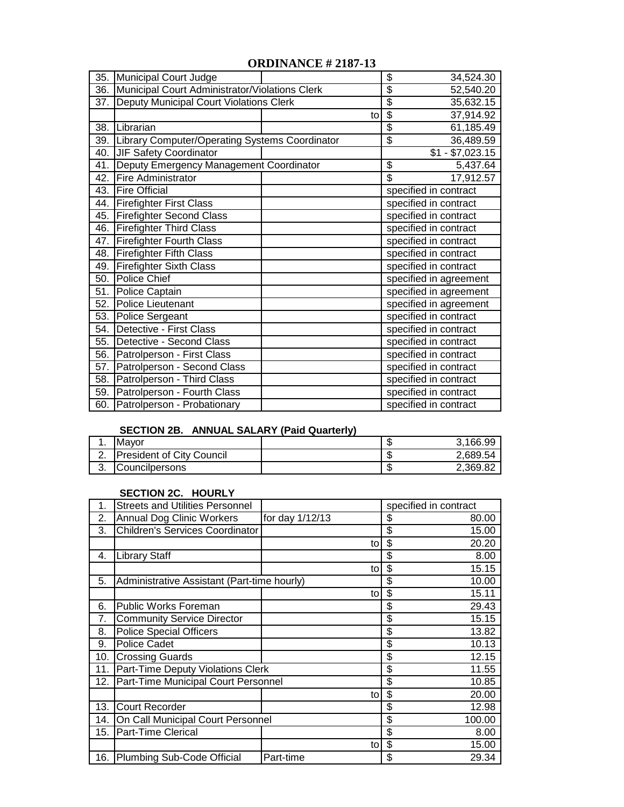| 35. | Municipal Court Judge                              | \$<br>34,524.30               |  |  |
|-----|----------------------------------------------------|-------------------------------|--|--|
| 36. | Municipal Court Administrator/Violations Clerk     | \$<br>52,540.20               |  |  |
| 37. | Deputy Municipal Court Violations Clerk            | $\overline{\$}$<br>35,632.15  |  |  |
|     | to                                                 | $\overline{\$}$<br>37,914.92  |  |  |
| 38. | Librarian                                          | $\overline{\$}$<br>61,185.49  |  |  |
|     | 39. Library Computer/Operating Systems Coordinator | $\overline{\$}$<br>36,489.59  |  |  |
| 40. | JIF Safety Coordinator                             | $\overline{$1$}$ - \$7,023.15 |  |  |
| 41. | Deputy Emergency Management Coordinator            | \$<br>5,437.64                |  |  |
| 42. | Fire Administrator                                 | \$<br>17,912.57               |  |  |
| 43. | <b>Fire Official</b>                               | specified in contract         |  |  |
| 44. | <b>Firefighter First Class</b>                     | specified in contract         |  |  |
| 45. | <b>Firefighter Second Class</b>                    | specified in contract         |  |  |
| 46. | <b>Firefighter Third Class</b>                     | specified in contract         |  |  |
| 47. | <b>Firefighter Fourth Class</b>                    | specified in contract         |  |  |
| 48. | <b>Firefighter Fifth Class</b>                     | specified in contract         |  |  |
| 49. | <b>Firefighter Sixth Class</b>                     | specified in contract         |  |  |
| 50. | Police Chief                                       | specified in agreement        |  |  |
| 51. | Police Captain                                     | specified in agreement        |  |  |
| 52. | Police Lieutenant                                  | specified in agreement        |  |  |
| 53. | <b>Police Sergeant</b>                             | specified in contract         |  |  |
| 54. | Detective - First Class                            | specified in contract         |  |  |
| 55. | Detective - Second Class                           | specified in contract         |  |  |
| 56. | Patrolperson - First Class                         | specified in contract         |  |  |
| 57. | Patrolperson - Second Class                        | specified in contract         |  |  |
| 58. | Patrolperson - Third Class                         | specified in contract         |  |  |
| 59. | Patrolperson - Fourth Class                        | specified in contract         |  |  |
| 60. | Patrolperson - Probationary                        | specified in contract         |  |  |

# **SECTION 2B. ANNUAL SALARY (Paid Quarterly)**

|        | .<br>---------------             |  |    |          |  |
|--------|----------------------------------|--|----|----------|--|
|        | ∎Mavor                           |  | ъD | 166.99   |  |
| $\sim$ | <b>President of City Council</b> |  | ъD | 2.689.54 |  |
| J.     | Councilpersons                   |  | ъD | 2.369.82 |  |

## **SECTION 2C. HOURLY**

| 1.  | <b>Streets and Utilities Personnel</b>      |                 | specified in contract |  |
|-----|---------------------------------------------|-----------------|-----------------------|--|
| 2.  | <b>Annual Dog Clinic Workers</b>            | for day 1/12/13 | 80.00<br>\$           |  |
| 3.  | <b>Children's Services Coordinator</b>      |                 | \$<br>15.00           |  |
|     |                                             | tol             | \$<br>20.20           |  |
| 4.  | <b>Library Staff</b>                        |                 | \$<br>8.00            |  |
|     |                                             | tol             | \$<br>15.15           |  |
| 5.  | Administrative Assistant (Part-time hourly) |                 | 10.00<br>\$           |  |
|     |                                             | tol             | \$<br>15.11           |  |
| 6.  | <b>Public Works Foreman</b>                 |                 | \$<br>29.43           |  |
| 7.  | <b>Community Service Director</b>           |                 | \$<br>15.15           |  |
| 8.  | <b>Police Special Officers</b>              |                 | 13.82<br>\$           |  |
| 9.  | Police Cadet                                |                 | \$<br>10.13           |  |
| 10. | <b>Crossing Guards</b>                      |                 | \$<br>12.15           |  |
| 11. | Part-Time Deputy Violations Clerk           |                 | \$<br>11.55           |  |
| 12. | Part-Time Municipal Court Personnel         |                 | \$<br>10.85           |  |
|     |                                             | to              | \$<br>20.00           |  |
| 13. | <b>Court Recorder</b>                       |                 | \$<br>12.98           |  |
| 14. | On Call Municipal Court Personnel           |                 | \$<br>100.00          |  |
| 15. | Part-Time Clerical                          |                 | \$<br>8.00            |  |
|     |                                             | tol             | \$<br>15.00           |  |
|     | 16. Plumbing Sub-Code Official              | Part-time       | \$<br>29.34           |  |